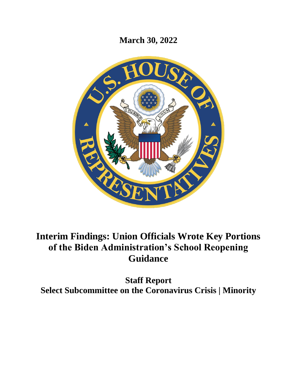**March 30, 2022**



# **Interim Findings: Union Officials Wrote Key Portions of the Biden Administration's School Reopening Guidance**

**Staff Report Select Subcommittee on the Coronavirus Crisis | Minority**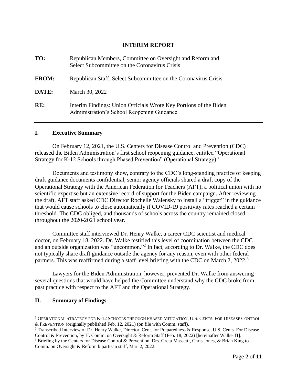## **INTERIM REPORT**

| TO:          | Republican Members, Committee on Oversight and Reform and<br>Select Subcommittee on the Coronavirus Crisis      |
|--------------|-----------------------------------------------------------------------------------------------------------------|
| <b>FROM:</b> | Republican Staff, Select Subcommittee on the Coronavirus Crisis                                                 |
| DATE:        | March 30, 2022                                                                                                  |
| RE:          | Interim Findings: Union Officials Wrote Key Portions of the Biden<br>Administration's School Reopening Guidance |

#### **I. Executive Summary**

On February 12, 2021, the U.S. Centers for Disease Control and Prevention (CDC) released the Biden Administration's first school reopening guidance, entitled "Operational Strategy for K-12 Schools through Phased Prevention" (Operational Strategy).<sup>1</sup>

Documents and testimony show, contrary to the CDC's long-standing practice of keeping draft guidance documents confidential, senior agency officials shared a draft copy of the Operational Strategy with the American Federation for Teachers (AFT) a political union with no scientific expertise but an extensive record of support for the Biden campaign. After reviewing the draft, AFT staff asked CDC Director Rochelle Walensky to install a "trigger" in the guidance that would cause schools to close automatically if COVID-19 positivity rates reached a certain threshold. The CDC obliged, and thousands of schools across the country remained closed throughout the 2020-2021 school year.

Committee staff interviewed Dr. Henry Walke, a career CDC scientist and medical doctor, on February 18, 2022. Dr. Walke testified this level of coordination between the CDC and an outside organization was "uncommon."<sup>2</sup> In fact, according to Dr. Walke, the CDC does not typically share draft guidance outside the agency for any reason, even with other federal partners. This was reaffirmed during a staff level briefing with the CDC on March 2, 2022.<sup>3</sup>

Lawyers for the Biden Administration, however, prevented Dr. Walke from answering several questions that would have helped the Committee understand why the CDC broke from past practice with respect to the AFT and the Operational Strategy.

#### **II. Summary of Findings**

<sup>1</sup> OPERATIONAL STRATEGY FOR K-12 SCHOOLS THROUGH PHASED MITIGATION, U.S. CENTS. FOR DISEASE CONTROL & PREVENTION (originally published Feb. 12, 2021) (on file with Comm. staff).

<sup>2</sup> Transcribed Interview of Dr. Henry Walke, Director, Cent. for Preparedness & Response, U.S. Cents. For Disease Control & Prevention, by H. Comm. on Oversight & Reform Staff (Feb. 18, 2022) [hereinafter Walke TI].

<sup>3</sup> Briefing by the Centers for Disease Control & Prevention, Drs. Greta Massetti, Chris Jones, & Brian King to Comm. on Oversight & Reform bipartisan staff, Mar. 2, 2022.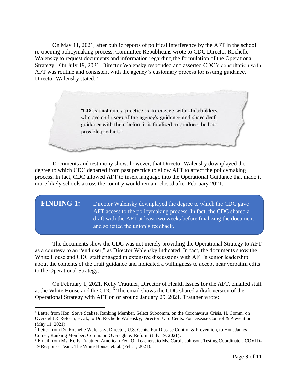On May 11, 2021, after public reports of political interference by the AFT in the school re-opening policymaking process, Committee Republicans wrote to CDC Director Rochelle Walensky to request documents and information regarding the formulation of the Operational Strategy.<sup>4</sup> On July 19, 2021, Director Walensky responded and asserted CDC's consultation with AFT was routine and consistent with the agency's customary process for issuing guidance. Director Walensky stated:<sup>5</sup>

> "CDC's customary practice is to engage with stakeholders who are end users of the agency's guidance and share draft guidance with them before it is finalized to produce the best possible product."

Documents and testimony show, however, that Director Walensky downplayed the degree to which CDC departed from past practice to allow AFT to affect the policymaking process. In fact, CDC allowed AFT to insert language into the Operational Guidance that made it more likely schools across the country would remain closed after February 2021.

**FINDING 1:** Director Walensky downplayed the degree to which the CDC gave AFT access to the policymaking process. In fact, the CDC shared a draft with the AFT at least two weeks before finalizing the document and solicited the union's feedback.

The documents show the CDC was not merely providing the Operational Strategy to AFT as a courtesy to an "end user," as Director Walensky indicated. In fact, the documents show the White House and CDC staff engaged in extensive discussions with AFT's senior leadership about the contents of the draft guidance and indicated a willingness to accept near verbatim edits to the Operational Strategy.

On February 1, 2021, Kelly Trautner, Director of Health Issues for the AFT, emailed staff at the White House and the  $CDC<sup>6</sup>$ . The email shows the CDC shared a draft version of the Operational Strategy with AFT on or around January 29, 2021. Trautner wrote:

<sup>4</sup> Letter from Hon. Steve Scalise, Ranking Member, Select Subcomm. on the Coronavirus Crisis, H. Comm. on Oversight & Reform, et. al., to Dr. Rochelle Walensky, Director, U.S. Cents. For Disease Control & Prevention (May 11, 2021).

<sup>5</sup> Letter from Dr. Rochelle Walensky, Director, U.S. Cents. For Disease Control & Prevention, to Hon. James Comer, Ranking Member, Comm. on Oversight & Reform (July 19, 2021).

<sup>6</sup> Email from Ms. Kelly Trautner, American Fed. Of Teachers, to Ms. Carole Johnson, Testing Coordinator, COVID-19 Response Team, The White House, et. al. (Feb. 1, 2021).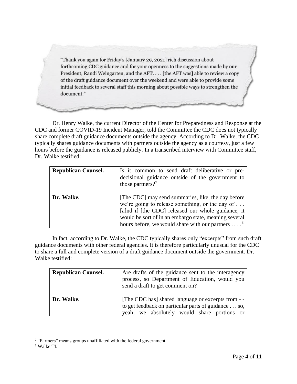"Thank you again for Friday's [January 29, 2021] rich discussion about forthcoming CDC guidance and for your openness to the suggestions made by our President, Randi Weingarten, and the AFT.... [the AFT was] able to review a copy of the draft guidance document over the weekend and were able to provide some initial feedback to several staff this morning about possible ways to strengthen the document."

Dr. Henry Walke, the current Director of the Center for Preparedness and Response at the CDC and former COVID-19 Incident Manager, told the Committee the CDC does not typically share complete draft guidance documents outside the agency. According to Dr. Walke, the CDC typically shares guidance documents with partners outside the agency as a courtesy, just a few hours before the guidance is released publicly. In a transcribed interview with Committee staff, Dr. Walke testified:

| <b>Republican Counsel.</b> | Is it common to send draft deliberative or pre-<br>decisional guidance outside of the government to<br>those partners? <sup>7</sup>                                                                                                                                                                   |
|----------------------------|-------------------------------------------------------------------------------------------------------------------------------------------------------------------------------------------------------------------------------------------------------------------------------------------------------|
| Dr. Walke.                 | [The CDC] may send summaries, like, the day before<br>we're going to release something, or the day of $\dots$<br>[a]nd if [the CDC] released our whole guidance, it<br>would be sort of in an embargo state, meaning several<br>hours before, we would share with our partners $\dots$ . <sup>8</sup> |

In fact, according to Dr. Walke, the CDC typically shares only "excerpts" from such draft guidance documents with other federal agencies. It is therefore particularly unusual for the CDC to share a full and complete version of a draft guidance document outside the government. Dr. Walke testified:

| <b>Republican Counsel.</b> | Are drafts of the guidance sent to the interagency<br>process, so Department of Education, would you<br>send a draft to get comment on?                  |
|----------------------------|----------------------------------------------------------------------------------------------------------------------------------------------------------|
| Dr. Walke.                 | [The CDC has] shared language or excerpts from - -<br>to get feedback on particular parts of guidance so,<br>yeah, we absolutely would share portions or |

<sup>&</sup>lt;sup>7</sup> "Partners" means groups unaffiliated with the federal government.

<sup>8</sup> Walke TI.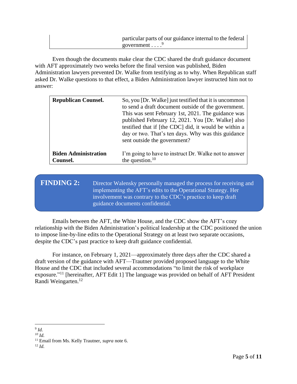| particular parts of our guidance internal to the federal |
|----------------------------------------------------------|
| government $\ldots$                                      |

Even though the documents make clear the CDC shared the draft guidance document with AFT approximately two weeks before the final version was published, Biden Administration lawyers prevented Dr. Walke from testifying as to why. When Republican staff asked Dr. Walke questions to that effect, a Biden Administration lawyer instructed him not to answer:

| <b>Republican Counsel.</b>  | So, you [Dr. Walke] just testified that it is uncommon<br>to send a draft document outside of the government.<br>This was sent February 1st, 2021. The guidance was<br>published February 12, 2021. You [Dr. Walke] also<br>testified that if [the CDC] did, it would be within a<br>day or two. That's ten days. Why was this guidance<br>sent outside the government? |
|-----------------------------|-------------------------------------------------------------------------------------------------------------------------------------------------------------------------------------------------------------------------------------------------------------------------------------------------------------------------------------------------------------------------|
| <b>Biden Administration</b> | I'm going to have to instruct Dr. Walke not to answer                                                                                                                                                                                                                                                                                                                   |
| Counsel.                    | the question. $10$                                                                                                                                                                                                                                                                                                                                                      |

**FINDING 2:** Director Walensky personally managed the process for receiving and implementing the AFT's edits to the Operational Strategy. Her involvement was contrary to the CDC's practice to keep draft guidance documents confidential.

Emails between the AFT, the White House, and the CDC show the AFT's cozy relationship with the Biden Administration's political leadership at the CDC positioned the union to impose line-by-line edits to the Operational Strategy on at least two separate occasions, despite the CDC's past practice to keep draft guidance confidential.

For instance, on February 1, 2021—approximately three days after the CDC shared a draft version of the guidance with AFT—Trautner provided proposed language to the White House and the CDC that included several accommodations "to limit the risk of workplace exposure."<sup>11</sup> [hereinafter, AFT Edit 1] The language was provided on behalf of AFT President Randi Weingarten.<sup>12</sup>

<sup>9</sup> *Id.*

*<sup>10</sup> Id.* 

<sup>11</sup> Email from Ms. Kelly Trautner, *supra* note 6.

 $12$  *Id.*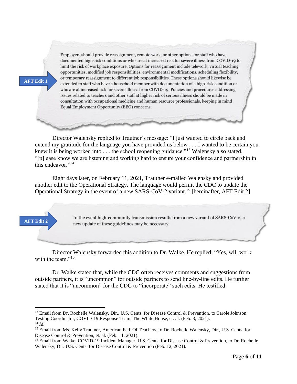#### **AFT Edit 1**

Employers should provide reassignment, remote work, or other options for staff who have documented high-risk conditions or who are at increased risk for severe illness from COVID-19 to limit the risk of workplace exposure. Options for reassignment include telework, virtual teaching opportunities, modified job responsibilities, environmental modifications, scheduling flexibility, or temporary reassignment to different job responsibilities. These options should likewise be extended to staff who have a household member with documentation of a high-risk condition or who are at increased risk for severe illness from COVID-19. Policies and procedures addressing issues related to teachers and other staff at higher risk of serious illness should be made in consultation with occupational medicine and human resource professionals, keeping in mind Equal Employment Opportunity (EEO) concerns.

Director Walensky replied to Trautner's message: "I just wanted to circle back and extend my gratitude for the language you have provided us below . . . I wanted to be certain you knew it is being worked into . . . the school reopening guidance."<sup>13</sup> Walensky also stated, "[p]lease know we are listening and working hard to ensure your confidence and partnership in this endeavor."<sup>14</sup>

Eight days later, on February 11, 2021, Trautner e-mailed Walensky and provided another edit to the Operational Strategy. The language would permit the CDC to update the Operational Strategy in the event of a new SARS-CoV-2 variant.<sup>15</sup> [hereinafter, AFT Edit 2]

#### In the event high-community transmission results from a new variant of SARS-CoV-2, a new update of these guidelines may be necessary.

Director Walensky forwarded this addition to Dr. Walke. He replied: "Yes, will work with the team."<sup>16</sup>

Dr. Walke stated that, while the CDC often receives comments and suggestions from outside partners, it is "uncommon" for outside partners to send line-by-line edits. He further stated that it is "uncommon" for the CDC to "incorporate" such edits. He testified:

**AFT Edit 2**

<sup>&</sup>lt;sup>13</sup> Email from Dr. Rochelle Walensky, Dir., U.S. Cents. for Disease Control & Prevention, to Carole Johnson, Testing Coordinator, COVID-19 Response Team, The White House, et. al. (Feb. 3, 2021).

 $14$  *Id.* 

<sup>&</sup>lt;sup>15</sup> Email from Ms. Kelly Trautner, American Fed. Of Teachers, to Dr. Rochelle Walensky, Dir., U.S. Cents. for Disease Control & Prevention, et. al. (Feb. 11, 2021).

<sup>&</sup>lt;sup>16</sup> Email from Walke, COVID-19 Incident Manager, U.S. Cents. for Disease Control & Prevention, to Dr. Rochelle Walensky, Dir. U.S. Cents. for Disease Control & Prevention (Feb. 12, 2021).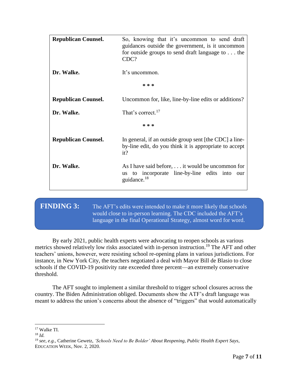| <b>Republican Counsel.</b> | So, knowing that it's uncommon to send draft<br>guidances outside the government, is it uncommon<br>for outside groups to send draft language to $\dots$ the<br>CDC? |
|----------------------------|----------------------------------------------------------------------------------------------------------------------------------------------------------------------|
| Dr. Walke.                 | It's uncommon.                                                                                                                                                       |
|                            | * * *                                                                                                                                                                |
| <b>Republican Counsel.</b> | Uncommon for, like, line-by-line edits or additions?                                                                                                                 |
| Dr. Walke.                 | That's correct. <sup>17</sup>                                                                                                                                        |
|                            | $* * *$                                                                                                                                                              |
| <b>Republican Counsel.</b> | In general, if an outside group sent [the CDC] a line-<br>by-line edit, do you think it is appropriate to accept<br>it?                                              |
| Dr. Walke.                 | As I have said before, it would be uncommon for<br>to incorporate line-by-line edits into<br><b>us</b><br>- our<br>guidance. $^{18}$                                 |

**FINDING 3:** The AFT's edits were intended to make it more likely that schools would close to in-person learning. The CDC included the AFT's language in the final Operational Strategy, almost word for word.

By early 2021, public health experts were advocating to reopen schools as various metrics showed relatively low risks associated with in-person instruction.<sup>19</sup> The AFT and other teachers' unions, however, were resisting school re-opening plans in various jurisdictions. For instance, in New York City, the teachers negotiated a deal with Mayor Bill de Blasio to close schools if the COVID-19 positivity rate exceeded three percent—an extremely conservative threshold.

The AFT sought to implement a similar threshold to trigger school closures across the country. The Biden Administration obliged. Documents show the ATF's draft language was meant to address the union's concerns about the absence of "triggers" that would automatically

<sup>17</sup> Walke TI.

 $18$  *Id.* 

<sup>19</sup> *see, e.g.,* Catherine Gewetz, *'Schools Need to Be Bolder' About Reopening, Public Health Expert Says*, EDUCATION WEEK, Nov. 2, 2020.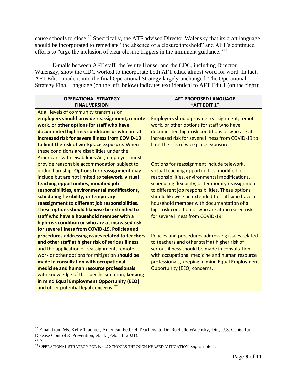cause schools to close.<sup>20</sup> Specifically, the ATF advised Director Walensky that its draft language should be incorporated to remediate "the absence of a closure threshold" and AFT's continued efforts to "urge the inclusion of clear closure triggers in the imminent guidance."<sup>21</sup>

E-mails between AFT staff, the White House, and the CDC, including Director Walensky, show the CDC worked to incorporate both AFT edits, almost word for word. In fact, AFT Edit 1 made it into the final Operational Strategy largely unchanged. The Operational Strategy Final Language (on the left, below) indicates text identical to AFT Edit 1 (on the right):

| <b>OPERATIONAL STRATEGY</b>                       | <b>AFT PROPOSED LANGUAGE</b>                       |
|---------------------------------------------------|----------------------------------------------------|
| <b>FINAL VERSION</b>                              | "AFT EDIT 1"                                       |
| At all levels of community transmission,          |                                                    |
| employers should provide reassignment, remote     | Employers should provide reassignment, remote      |
| work, or other options for staff who have         | work, or other options for staff who have          |
| documented high-risk conditions or who are at     | documented high-risk conditions or who are at      |
| increased risk for severe illness from COVID-19   | increased risk for severe illness from COVID-19 to |
| to limit the risk of workplace exposure. When     | limit the risk of workplace exposure.              |
| these conditions are disabilities under the       |                                                    |
| Americans with Disabilities Act, employers must   |                                                    |
| provide reasonable accommodation subject to       | Options for reassignment include telework,         |
| undue hardship. Options for reassignment may      | virtual teaching opportunities, modified job       |
| include but are not limited to telework, virtual  | responsibilities, environmental modifications,     |
| teaching opportunities, modified job              | scheduling flexibility, or temporary reassignment  |
| responsibilities, environmental modifications,    | to different job responsibilities. These options   |
| scheduling flexibility, or temporary              | should likewise be extended to staff who have a    |
| reassignment to different job responsibilities.   | household member with documentation of a           |
| These options should likewise be extended to      | high-risk condition or who are at increased risk   |
| staff who have a household member with a          | for severe illness from COVID-19.                  |
| high-risk condition or who are at increased risk  |                                                    |
| for severe illness from COVID-19. Policies and    |                                                    |
| procedures addressing issues related to teachers  | Policies and procedures addressing issues related  |
| and other staff at higher risk of serious illness | to teachers and other staff at higher risk of      |
| and the application of reassignment, remote       | serious illness should be made in consultation     |
| work or other options for mitigation should be    | with occupational medicine and human resource      |
| made in consultation with occupational            | professionals, keeping in mind Equal Employment    |
| medicine and human resource professionals         | <b>Opportunity (EEO) concerns.</b>                 |
| with knowledge of the specific situation, keeping |                                                    |
| in mind Equal Employment Opportunity (EEO)        |                                                    |
| and other potential legal concerns. <sup>22</sup> |                                                    |

<sup>&</sup>lt;sup>20</sup> Email from Ms. Kelly Trautner, American Fed. Of Teachers, to Dr. Rochelle Walensky, Dir., U.S. Cents. for Disease Control & Prevention, et. al. (Feb. 11, 2021).

 $^{21}$  *Id.* 

<sup>22</sup> OPERATIONAL STRATEGY FOR K-12 SCHOOLS THROUGH PHASED MITIGATION, *supra* note 1.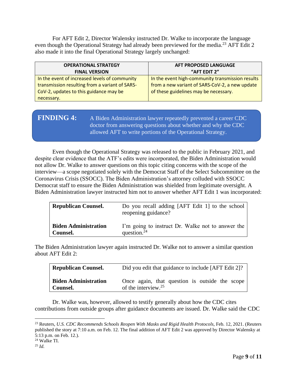For AFT Edit 2, Director Walensky instructed Dr. Walke to incorporate the language even though the Operational Strategy had already been previewed for the media.<sup>23</sup> AFT Edit 2 also made it into the final Operational Strategy largely unchanged:

| <b>OPERATIONAL STRATEGY</b>                    | AFT PROPOSED LANGUAGE                            |
|------------------------------------------------|--------------------------------------------------|
| <b>FINAL VERSION</b>                           | "AFT EDIT 2"                                     |
| In the event of increased levels of community  | In the event high-community transmission results |
| transmission resulting from a variant of SARS- | from a new variant of SARS-CoV-2, a new update   |
| CoV-2, updates to this guidance may be         | of these guidelines may be necessary.            |
| necessary.                                     |                                                  |

# **FINDING 4:** A Biden Administration lawyer repeatedly prevented a career CDC doctor from answering questions about whether and why the CDC allowed AFT to write portions of the Operational Strategy.

Even though the Operational Strategy was released to the public in February 2021, and despite clear evidence that the ATF's edits were incorporated, the Biden Administration would not allow Dr. Walke to answer questions on this topic citing concerns with the scope of the interview—a scope negotiated solely with the Democrat Staff of the Select Subcommittee on the Coronavirus Crisis (SSOCC). The Biden Administration's attorney colluded with SSOCC Democrat staff to ensure the Biden Administration was shielded from legitimate oversight. A Biden Administration lawyer instructed him not to answer whether AFT Edit 1 was incorporated:

| <b>Republican Counsel.</b>  | Do you recall adding [AFT Edit 1] to the school<br>reopening guidance? |
|-----------------------------|------------------------------------------------------------------------|
| <b>Biden Administration</b> | I'm going to instruct Dr. Walke not to answer the                      |
| Counsel.                    | question. $^{24}$                                                      |

The Biden Administration lawyer again instructed Dr. Walke not to answer a similar question about AFT Edit 2:

| <b>Republican Counsel.</b>  | Did you edit that guidance to include [AFT Edit 2]? |
|-----------------------------|-----------------------------------------------------|
| <b>Biden Administration</b> | Once again, that question is outside the scope      |
| Counsel.                    | of the interview. $25$                              |

Dr. Walke was, however, allowed to testify generally about how the CDC cites contributions from outside groups after guidance documents are issued. Dr. Walke said the CDC

<sup>23</sup> Reuters, *U.S. CDC Recommends Schools Reopen With Masks and Rigid Health Protocols*, Feb. 12, 2021. (Reuters published the story at 7:10 a.m. on Feb. 12. The final addition of AFT Edit 2 was approved by Director Walensky at 5:13 p.m. on Feb. 12.).

<sup>24</sup> Walke TI.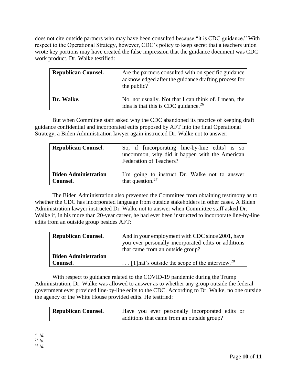does not cite outside partners who may have been consulted because "it is CDC guidance." With respect to the Operational Strategy, however, CDC's policy to keep secret that a teachers union wrote key portions may have created the false impression that the guidance document was CDC work product. Dr. Walke testified:

| <b>Republican Counsel.</b> | Are the partners consulted with on specific guidance<br>acknowledged after the guidance drafting process for<br>the public? |
|----------------------------|-----------------------------------------------------------------------------------------------------------------------------|
| Dr. Walke.                 | No, not usually. Not that I can think of. I mean, the<br>idea is that this is CDC guidance. <sup>26</sup>                   |

But when Committee staff asked why the CDC abandoned its practice of keeping draft guidance confidential and incorporated edits proposed by AFT into the final Operational Strategy, a Biden Administration lawyer again instructed Dr. Walke not to answer:

| <b>Republican Counsel.</b>  | So, if [incorporating line-by-line edits] is so<br>uncommon, why did it happen with the American<br>Federation of Teachers? |
|-----------------------------|-----------------------------------------------------------------------------------------------------------------------------|
| <b>Biden Administration</b> | I'm going to instruct Dr. Walke not to answer                                                                               |
| Counsel.                    | that question. $27$                                                                                                         |

The Biden Administration also prevented the Committee from obtaining testimony as to whether the CDC has incorporated language from outside stakeholders in other cases. A Biden Administration lawyer instructed Dr. Walke not to answer when Committee staff asked Dr. Walke if, in his more than 20-year career, he had ever been instructed to incorporate line-by-line edits from an outside group besides AFT:

| <b>Republican Counsel.</b>  | And in your employment with CDC since 2001, have<br>you ever personally incorporated edits or additions |
|-----------------------------|---------------------------------------------------------------------------------------------------------|
|                             | that came from an outside group?                                                                        |
| <b>Biden Administration</b> |                                                                                                         |
| Counsel.                    | $\ldots$ [T] hat's outside the scope of the interview. <sup>28</sup>                                    |

With respect to guidance related to the COVID-19 pandemic during the Trump Administration, Dr. Walke was allowed to answer as to whether any group outside the federal government ever provided line-by-line edits to the CDC. According to Dr. Walke, no one outside the agency or the White House provided edits. He testified:

| <b>Republican Counsel.</b> | Have you ever personally incorporated edits or |
|----------------------------|------------------------------------------------|
|                            | additions that came from an outside group?     |

<sup>26</sup> *Id.* 

 $^{27}$  *Id.* 

 $^{28}$  *Id.*